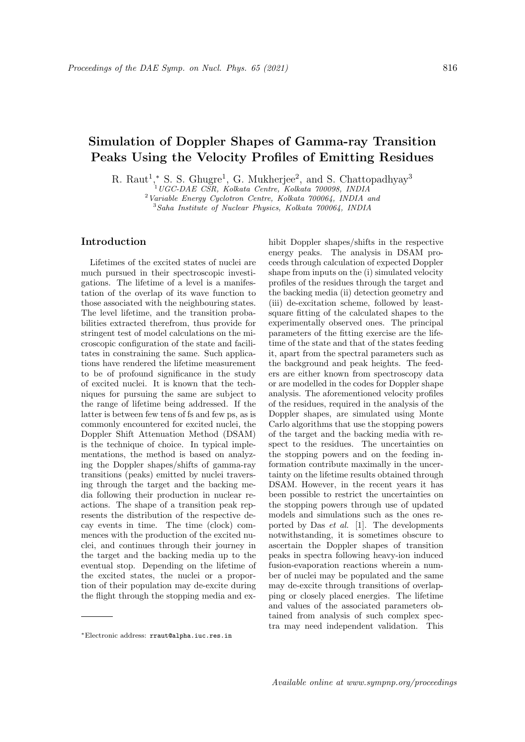# Simulation of Doppler Shapes of Gamma-ray Transition Peaks Using the Velocity Profiles of Emitting Residues

R. Raut<sup>1</sup>,\* S. S. Ghugre<sup>1</sup>, G. Mukherjee<sup>2</sup>, and S. Chattopadhyay<sup>3</sup>

 $\widetilde{C}^1$ UGC-DAE CSR, Kolkata Centre, Kolkata 700098, INDIA

<sup>2</sup>Variable Energy Cyclotron Centre, Kolkata 700064, INDIA and

<sup>3</sup>Saha Institute of Nuclear Physics, Kolkata 700064, INDIA

### Introduction

Lifetimes of the excited states of nuclei are much pursued in their spectroscopic investigations. The lifetime of a level is a manifestation of the overlap of its wave function to those associated with the neighbouring states. The level lifetime, and the transition probabilities extracted therefrom, thus provide for stringent test of model calculations on the microscopic configuration of the state and facilitates in constraining the same. Such applications have rendered the lifetime measurement to be of profound significance in the study of excited nuclei. It is known that the techniques for pursuing the same are subject to the range of lifetime being addressed. If the latter is between few tens of fs and few ps, as is commonly encountered for excited nuclei, the Doppler Shift Attenuation Method (DSAM) is the technique of choice. In typical implementations, the method is based on analyzing the Doppler shapes/shifts of gamma-ray transitions (peaks) emitted by nuclei traversing through the target and the backing media following their production in nuclear reactions. The shape of a transition peak represents the distribution of the respective decay events in time. The time (clock) commences with the production of the excited nuclei, and continues through their journey in the target and the backing media up to the eventual stop. Depending on the lifetime of the excited states, the nuclei or a proportion of their population may de-excite during the flight through the stopping media and exhibit Doppler shapes/shifts in the respective energy peaks. The analysis in DSAM proceeds through calculation of expected Doppler shape from inputs on the (i) simulated velocity profiles of the residues through the target and the backing media (ii) detection geometry and (iii) de-excitation scheme, followed by leastsquare fitting of the calculated shapes to the experimentally observed ones. The principal parameters of the fitting exercise are the lifetime of the state and that of the states feeding it, apart from the spectral parameters such as the background and peak heights. The feeders are either known from spectroscopy data or are modelled in the codes for Doppler shape analysis. The aforementioned velocity profiles of the residues, required in the analysis of the Doppler shapes, are simulated using Monte Carlo algorithms that use the stopping powers of the target and the backing media with respect to the residues. The uncertainties on the stopping powers and on the feeding information contribute maximally in the uncertainty on the lifetime results obtained through DSAM. However, in the recent years it has been possible to restrict the uncertainties on the stopping powers through use of updated models and simulations such as the ones reported by Das et al. [1]. The developments notwithstanding, it is sometimes obscure to ascertain the Doppler shapes of transition peaks in spectra following heavy-ion induced fusion-evaporation reactions wherein a number of nuclei may be populated and the same may de-excite through transitions of overlapping or closely placed energies. The lifetime and values of the associated parameters obtained from analysis of such complex spectra may need independent validation. This

<sup>∗</sup>Electronic address: rraut@alpha.iuc.res.in